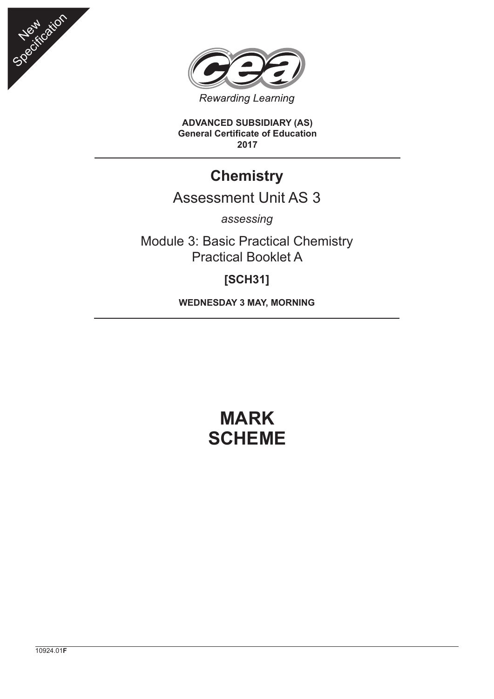



**ADVANCED SUBSIDIARY (AS) General Certificate of Education 2017**

## **Chemistry**

## Assessment Unit AS 3

*assessing*

Module 3: Basic Practical Chemistry Practical Booklet A

## **[SCH31]**

**WEDNESDAY 3 MAY, MORNING**

## **MARK SCHEME**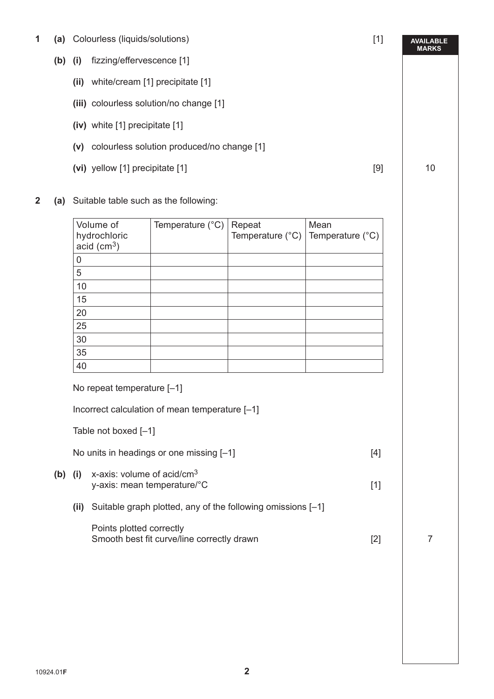- **1 (a)** Colourless (liquids/solutions) [1]
	- **(b) (i)** fizzing/effervescence [1]
		- **(ii)** white/cream [1] precipitate [1]
		- **(iii)** colourless solution/no change [1]
		- **(iv)** white [1] precipitate [1]
		- **(v)** colourless solution produced/no change [1]
		- **(vi)** yellow [1] precipitate [1] 10
- **2 (a)** Suitable table such as the following:

| Volume of                                 | Temperature $(^{\circ}C)$ | Repeat                                              | Mean |
|-------------------------------------------|---------------------------|-----------------------------------------------------|------|
| hydrochloric<br>$acid$ (cm <sup>3</sup> ) |                           | Temperature $(^{\circ}C)$ Temperature $(^{\circ}C)$ |      |
| 0                                         |                           |                                                     |      |
| 5                                         |                           |                                                     |      |
| 10                                        |                           |                                                     |      |
| 15                                        |                           |                                                     |      |
| 20                                        |                           |                                                     |      |
| 25                                        |                           |                                                     |      |
| 30                                        |                           |                                                     |      |
| 35                                        |                           |                                                     |      |
| 40                                        |                           |                                                     |      |

Incorrect calculation of mean temperature [–1]

Table not boxed [–1]

No units in headings or one missing [-1] [4]

- **(b) (i)** x-axis: volume of acid/cm<sup>3</sup> y-axis: mean temperature/°C [1]
	- **(ii)** Suitable graph plotted, any of the following omissions [–1]

| Points plotted correctly                   |  |
|--------------------------------------------|--|
| Smooth best fit curve/line correctly drawn |  |

**AVAILABLE MARKS**